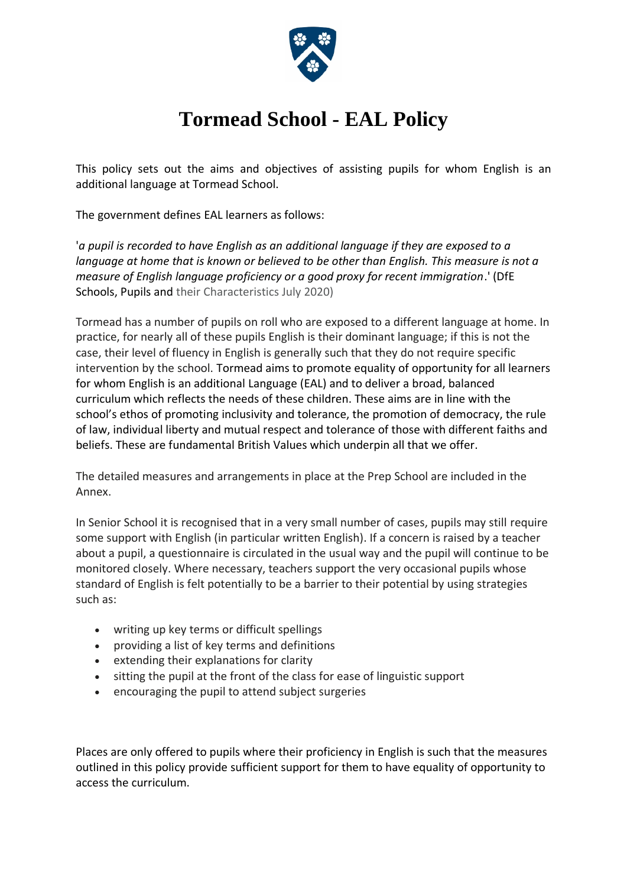

# **Tormead School - EAL Policy**

This policy sets out the aims and objectives of assisting pupils for whom English is an additional language at Tormead School.

The government defines EAL learners as follows:

'*a pupil is recorded to have English as an additional language if they are exposed to a language at home that is known or believed to be other than English. This measure is not a measure of English language proficiency or a good proxy for recent immigration*.' (DfE Schools, Pupils and their Characteristics July 2020)

Tormead has a number of pupils on roll who are exposed to a different language at home. In practice, for nearly all of these pupils English is their dominant language; if this is not the case, their level of fluency in English is generally such that they do not require specific intervention by the school. Tormead aims to promote equality of opportunity for all learners for whom English is an additional Language (EAL) and to deliver a broad, balanced curriculum which reflects the needs of these children. These aims are in line with the school's ethos of promoting inclusivity and tolerance, the promotion of democracy, the rule of law, individual liberty and mutual respect and tolerance of those with different faiths and beliefs. These are fundamental British Values which underpin all that we offer.

The detailed measures and arrangements in place at the Prep School are included in the Annex.

In Senior School it is recognised that in a very small number of cases, pupils may still require some support with English (in particular written English). If a concern is raised by a teacher about a pupil, a questionnaire is circulated in the usual way and the pupil will continue to be monitored closely. Where necessary, teachers support the very occasional pupils whose standard of English is felt potentially to be a barrier to their potential by using strategies such as:

- writing up key terms or difficult spellings
- providing a list of key terms and definitions
- extending their explanations for clarity
- sitting the pupil at the front of the class for ease of linguistic support
- encouraging the pupil to attend subject surgeries

Places are only offered to pupils where their proficiency in English is such that the measures outlined in this policy provide sufficient support for them to have equality of opportunity to access the curriculum.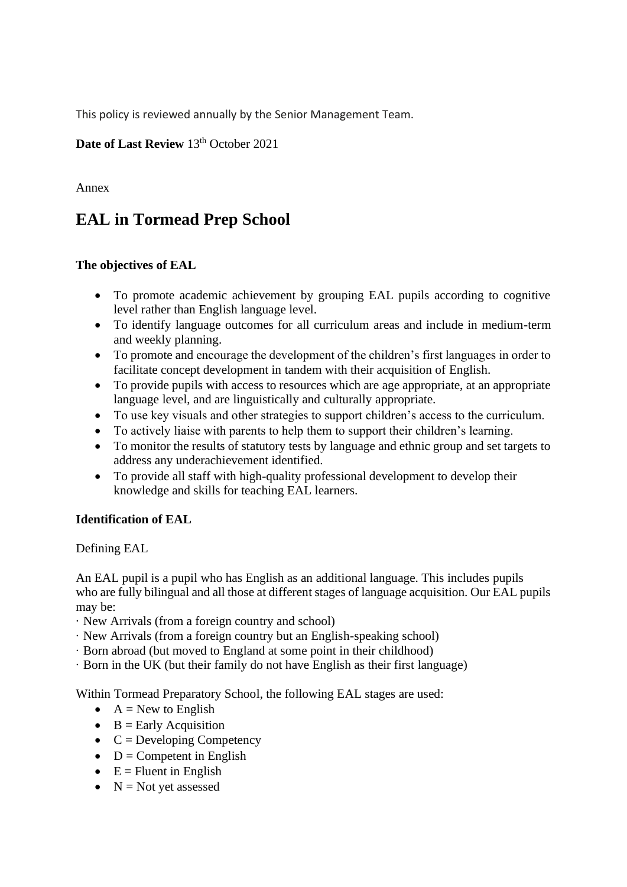This policy is reviewed annually by the Senior Management Team.

# **Date of Last Review 13th October 2021**

Annex

# **EAL in Tormead Prep School**

# **The objectives of EAL**

- To promote academic achievement by grouping EAL pupils according to cognitive level rather than English language level.
- To identify language outcomes for all curriculum areas and include in medium-term and weekly planning.
- To promote and encourage the development of the children's first languages in order to facilitate concept development in tandem with their acquisition of English.
- To provide pupils with access to resources which are age appropriate, at an appropriate language level, and are linguistically and culturally appropriate.
- To use key visuals and other strategies to support children's access to the curriculum.
- To actively liaise with parents to help them to support their children's learning.
- To monitor the results of statutory tests by language and ethnic group and set targets to address any underachievement identified.
- To provide all staff with high-quality professional development to develop their knowledge and skills for teaching EAL learners.

# **Identification of EAL**

Defining EAL

An EAL pupil is a pupil who has English as an additional language. This includes pupils who are fully bilingual and all those at different stages of language acquisition. Our EAL pupils may be:

- · New Arrivals (from a foreign country and school)
- · New Arrivals (from a foreign country but an English-speaking school)
- · Born abroad (but moved to England at some point in their childhood)
- · Born in the UK (but their family do not have English as their first language)

Within Tormead Preparatory School, the following EAL stages are used:

- $A = New to English$
- $\bullet$  B = Early Acquisition
- $\bullet$  C = Developing Competency
- $\bullet$  D = Competent in English
- $\bullet$  E = Fluent in English
- $N = Not$  vet assessed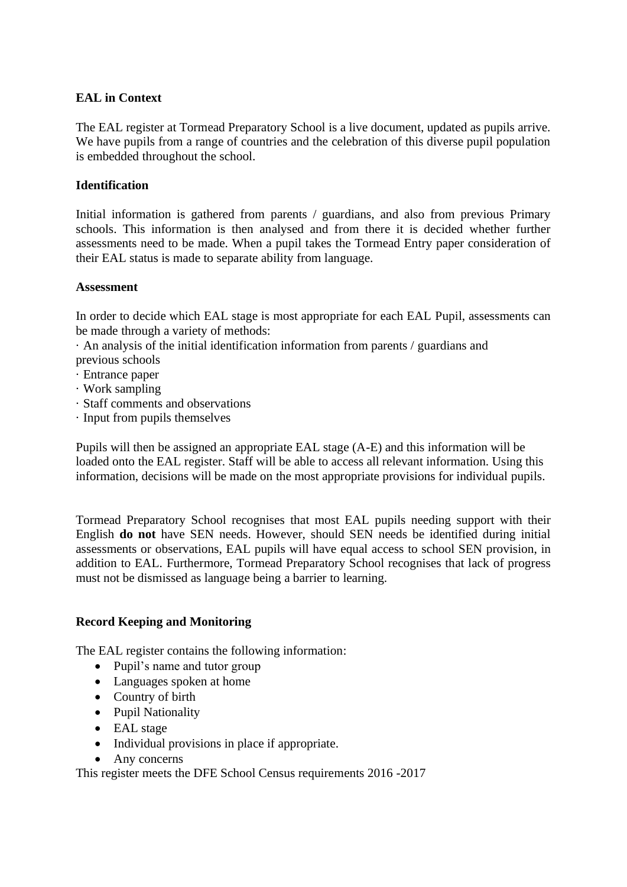#### **EAL in Context**

The EAL register at Tormead Preparatory School is a live document, updated as pupils arrive. We have pupils from a range of countries and the celebration of this diverse pupil population is embedded throughout the school.

#### **Identification**

Initial information is gathered from parents / guardians, and also from previous Primary schools. This information is then analysed and from there it is decided whether further assessments need to be made. When a pupil takes the Tormead Entry paper consideration of their EAL status is made to separate ability from language.

#### **Assessment**

In order to decide which EAL stage is most appropriate for each EAL Pupil, assessments can be made through a variety of methods:

· An analysis of the initial identification information from parents / guardians and previous schools

- · Entrance paper
- · Work sampling
- · Staff comments and observations
- · Input from pupils themselves

Pupils will then be assigned an appropriate EAL stage (A-E) and this information will be loaded onto the EAL register. Staff will be able to access all relevant information. Using this information, decisions will be made on the most appropriate provisions for individual pupils.

Tormead Preparatory School recognises that most EAL pupils needing support with their English **do not** have SEN needs. However, should SEN needs be identified during initial assessments or observations, EAL pupils will have equal access to school SEN provision, in addition to EAL. Furthermore, Tormead Preparatory School recognises that lack of progress must not be dismissed as language being a barrier to learning.

#### **Record Keeping and Monitoring**

The EAL register contains the following information:

- Pupil's name and tutor group
- Languages spoken at home
- Country of birth
- Pupil Nationality
- EAL stage
- Individual provisions in place if appropriate.
- Any concerns

This register meets the DFE School Census requirements 2016 -2017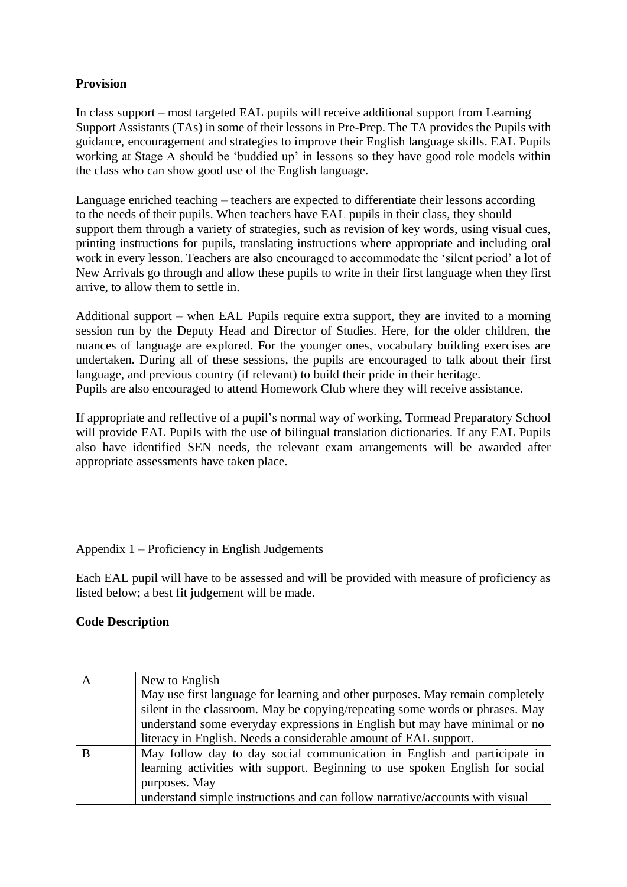# **Provision**

In class support – most targeted EAL pupils will receive additional support from Learning Support Assistants (TAs) in some of their lessons in Pre-Prep. The TA provides the Pupils with guidance, encouragement and strategies to improve their English language skills. EAL Pupils working at Stage A should be 'buddied up' in lessons so they have good role models within the class who can show good use of the English language.

Language enriched teaching – teachers are expected to differentiate their lessons according to the needs of their pupils. When teachers have EAL pupils in their class, they should support them through a variety of strategies, such as revision of key words, using visual cues, printing instructions for pupils, translating instructions where appropriate and including oral work in every lesson. Teachers are also encouraged to accommodate the 'silent period' a lot of New Arrivals go through and allow these pupils to write in their first language when they first arrive, to allow them to settle in.

Additional support – when EAL Pupils require extra support, they are invited to a morning session run by the Deputy Head and Director of Studies. Here, for the older children, the nuances of language are explored. For the younger ones, vocabulary building exercises are undertaken. During all of these sessions, the pupils are encouraged to talk about their first language, and previous country (if relevant) to build their pride in their heritage. Pupils are also encouraged to attend Homework Club where they will receive assistance.

If appropriate and reflective of a pupil's normal way of working, Tormead Preparatory School will provide EAL Pupils with the use of bilingual translation dictionaries. If any EAL Pupils also have identified SEN needs, the relevant exam arrangements will be awarded after appropriate assessments have taken place.

# Appendix 1 – Proficiency in English Judgements

Each EAL pupil will have to be assessed and will be provided with measure of proficiency as listed below; a best fit judgement will be made.

# **Code Description**

| A | New to English                                                                                                                                                |
|---|---------------------------------------------------------------------------------------------------------------------------------------------------------------|
|   | May use first language for learning and other purposes. May remain completely<br>silent in the classroom. May be copying/repeating some words or phrases. May |
|   | understand some everyday expressions in English but may have minimal or no                                                                                    |
|   | literacy in English. Needs a considerable amount of EAL support.                                                                                              |
| B | May follow day to day social communication in English and participate in                                                                                      |
|   | learning activities with support. Beginning to use spoken English for social                                                                                  |
|   | purposes. May                                                                                                                                                 |
|   | understand simple instructions and can follow narrative/accounts with visual                                                                                  |